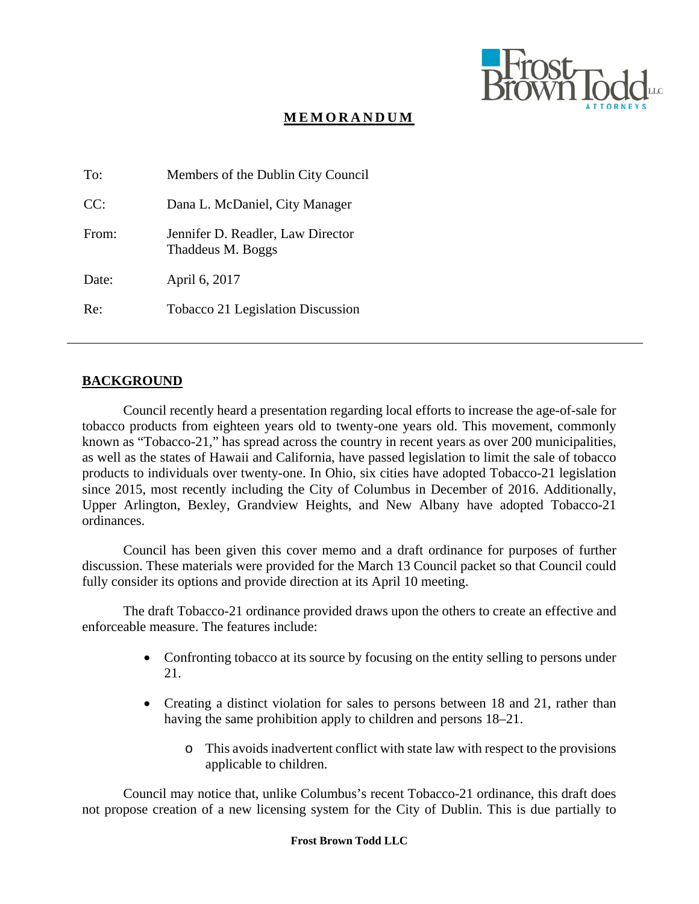

# **MEMORANDUM**

| To:   | Members of the Dublin City Council                     |
|-------|--------------------------------------------------------|
| CC:   | Dana L. McDaniel, City Manager                         |
| From: | Jennifer D. Readler, Law Director<br>Thaddeus M. Boggs |
| Date: | April 6, 2017                                          |
| Re:   | Tobacco 21 Legislation Discussion                      |

## **BACKGROUND**

Council recently heard a presentation regarding local efforts to increase the age-of-sale for tobacco products from eighteen years old to twenty-one years old. This movement, commonly known as "Tobacco-21," has spread across the country in recent years as over 200 municipalities, as well as the states of Hawaii and California, have passed legislation to limit the sale of tobacco products to individuals over twenty-one. In Ohio, six cities have adopted Tobacco-21 legislation since 2015, most recently including the City of Columbus in December of 2016. Additionally, Upper Arlington, Bexley, Grandview Heights, and New Albany have adopted Tobacco-21 ordinances.

Council has been given this cover memo and a draft ordinance for purposes of further discussion. These materials were provided for the March 13 Council packet so that Council could fully consider its options and provide direction at its April 10 meeting.

The draft Tobacco-21 ordinance provided draws upon the others to create an effective and enforceable measure. The features include:

- Confronting tobacco at its source by focusing on the entity selling to persons under 21.
- Creating a distinct violation for sales to persons between 18 and 21, rather than having the same prohibition apply to children and persons 18–21.
	- o This avoids inadvertent conflict with state law with respect to the provisions applicable to children.

Council may notice that, unlike Columbus's recent Tobacco-21 ordinance, this draft does not propose creation of a new licensing system for the City of Dublin. This is due partially to

#### **Frost Brown Todd LLC**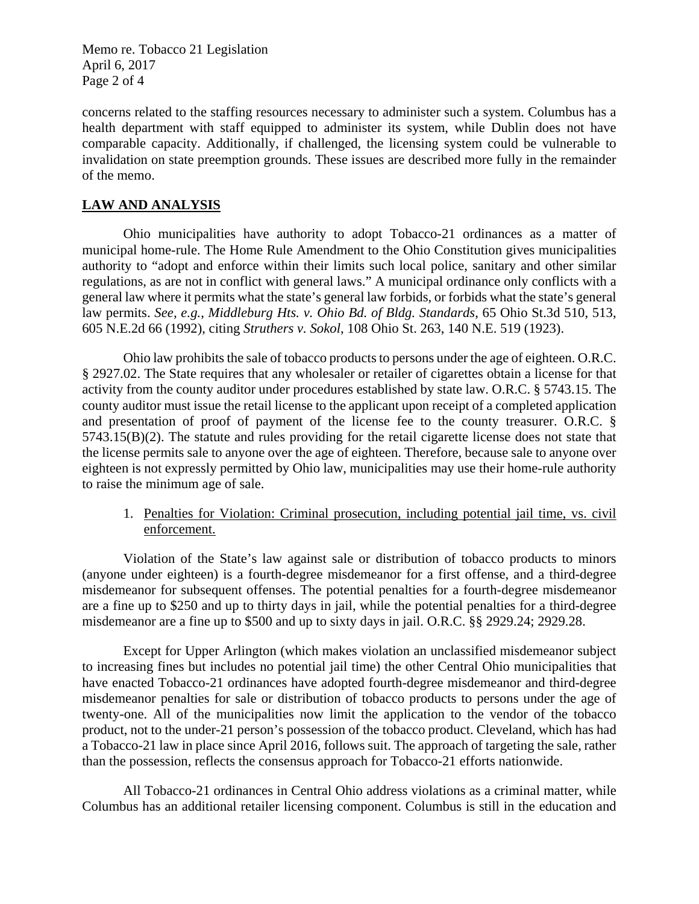Memo re. Tobacco 21 Legislation April 6, 2017 Page 2 of 4

concerns related to the staffing resources necessary to administer such a system. Columbus has a health department with staff equipped to administer its system, while Dublin does not have comparable capacity. Additionally, if challenged, the licensing system could be vulnerable to invalidation on state preemption grounds. These issues are described more fully in the remainder of the memo.

## **LAW AND ANALYSIS**

Ohio municipalities have authority to adopt Tobacco-21 ordinances as a matter of municipal home-rule. The Home Rule Amendment to the Ohio Constitution gives municipalities authority to "adopt and enforce within their limits such local police, sanitary and other similar regulations, as are not in conflict with general laws." A municipal ordinance only conflicts with a general law where it permits what the state's general law forbids, or forbids what the state's general law permits. *See, e.g.*, *Middleburg Hts. v. Ohio Bd. of Bldg. Standards*, 65 Ohio St.3d 510, 513, 605 N.E.2d 66 (1992), citing *Struthers v. Sokol*, 108 Ohio St. 263, 140 N.E. 519 (1923).

Ohio law prohibits the sale of tobacco products to persons under the age of eighteen. O.R.C. § 2927.02. The State requires that any wholesaler or retailer of cigarettes obtain a license for that activity from the county auditor under procedures established by state law. O.R.C. § 5743.15. The county auditor must issue the retail license to the applicant upon receipt of a completed application and presentation of proof of payment of the license fee to the county treasurer. O.R.C. § 5743.15(B)(2). The statute and rules providing for the retail cigarette license does not state that the license permits sale to anyone over the age of eighteen. Therefore, because sale to anyone over eighteen is not expressly permitted by Ohio law, municipalities may use their home-rule authority to raise the minimum age of sale.

## 1. Penalties for Violation: Criminal prosecution, including potential jail time, vs. civil enforcement.

Violation of the State's law against sale or distribution of tobacco products to minors (anyone under eighteen) is a fourth-degree misdemeanor for a first offense, and a third-degree misdemeanor for subsequent offenses. The potential penalties for a fourth-degree misdemeanor are a fine up to \$250 and up to thirty days in jail, while the potential penalties for a third-degree misdemeanor are a fine up to \$500 and up to sixty days in jail. O.R.C. §§ 2929.24; 2929.28.

Except for Upper Arlington (which makes violation an unclassified misdemeanor subject to increasing fines but includes no potential jail time) the other Central Ohio municipalities that have enacted Tobacco-21 ordinances have adopted fourth-degree misdemeanor and third-degree misdemeanor penalties for sale or distribution of tobacco products to persons under the age of twenty-one. All of the municipalities now limit the application to the vendor of the tobacco product, not to the under-21 person's possession of the tobacco product. Cleveland, which has had a Tobacco-21 law in place since April 2016, follows suit. The approach of targeting the sale, rather than the possession, reflects the consensus approach for Tobacco-21 efforts nationwide.

All Tobacco-21 ordinances in Central Ohio address violations as a criminal matter, while Columbus has an additional retailer licensing component. Columbus is still in the education and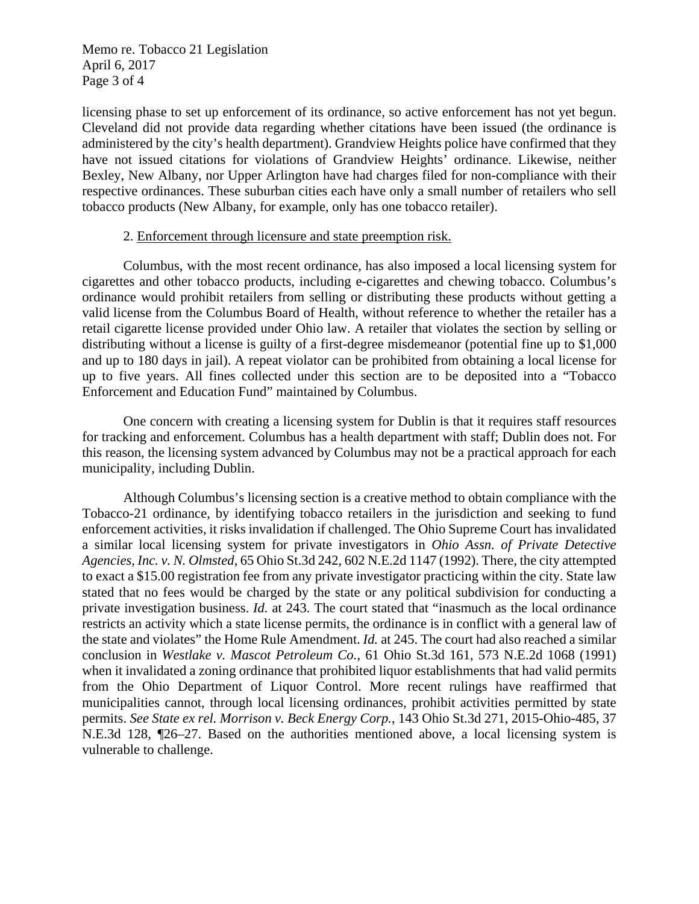Memo re. Tobacco 21 Legislation April 6, 2017 Page 3 of 4

licensing phase to set up enforcement of its ordinance, so active enforcement has not yet begun. Cleveland did not provide data regarding whether citations have been issued (the ordinance is administered by the city's health department). Grandview Heights police have confirmed that they have not issued citations for violations of Grandview Heights' ordinance. Likewise, neither Bexley, New Albany, nor Upper Arlington have had charges filed for non-compliance with their respective ordinances. These suburban cities each have only a small number of retailers who sell tobacco products (New Albany, for example, only has one tobacco retailer).

#### 2. Enforcement through licensure and state preemption risk.

Columbus, with the most recent ordinance, has also imposed a local licensing system for cigarettes and other tobacco products, including e-cigarettes and chewing tobacco. Columbus's ordinance would prohibit retailers from selling or distributing these products without getting a valid license from the Columbus Board of Health, without reference to whether the retailer has a retail cigarette license provided under Ohio law. A retailer that violates the section by selling or distributing without a license is guilty of a first-degree misdemeanor (potential fine up to \$1,000 and up to 180 days in jail). A repeat violator can be prohibited from obtaining a local license for up to five years. All fines collected under this section are to be deposited into a "Tobacco Enforcement and Education Fund" maintained by Columbus.

One concern with creating a licensing system for Dublin is that it requires staff resources for tracking and enforcement. Columbus has a health department with staff; Dublin does not. For this reason, the licensing system advanced by Columbus may not be a practical approach for each municipality, including Dublin.

Although Columbus's licensing section is a creative method to obtain compliance with the Tobacco-21 ordinance, by identifying tobacco retailers in the jurisdiction and seeking to fund enforcement activities, it risks invalidation if challenged. The Ohio Supreme Court has invalidated a similar local licensing system for private investigators in *Ohio Assn. of Private Detective Agencies, Inc. v. N. Olmsted*, 65 Ohio St.3d 242, 602 N.E.2d 1147 (1992). There, the city attempted to exact a \$15.00 registration fee from any private investigator practicing within the city. State law stated that no fees would be charged by the state or any political subdivision for conducting a private investigation business. *Id.* at 243. The court stated that "inasmuch as the local ordinance restricts an activity which a state license permits, the ordinance is in conflict with a general law of the state and violates" the Home Rule Amendment. *Id.* at 245. The court had also reached a similar conclusion in *Westlake v. Mascot Petroleum Co.*, 61 Ohio St.3d 161, 573 N.E.2d 1068 (1991) when it invalidated a zoning ordinance that prohibited liquor establishments that had valid permits from the Ohio Department of Liquor Control. More recent rulings have reaffirmed that municipalities cannot, through local licensing ordinances, prohibit activities permitted by state permits. *See State ex rel. Morrison v. Beck Energy Corp.*, 143 Ohio St.3d 271, 2015-Ohio-485, 37 N.E.3d 128, ¶26–27. Based on the authorities mentioned above, a local licensing system is vulnerable to challenge.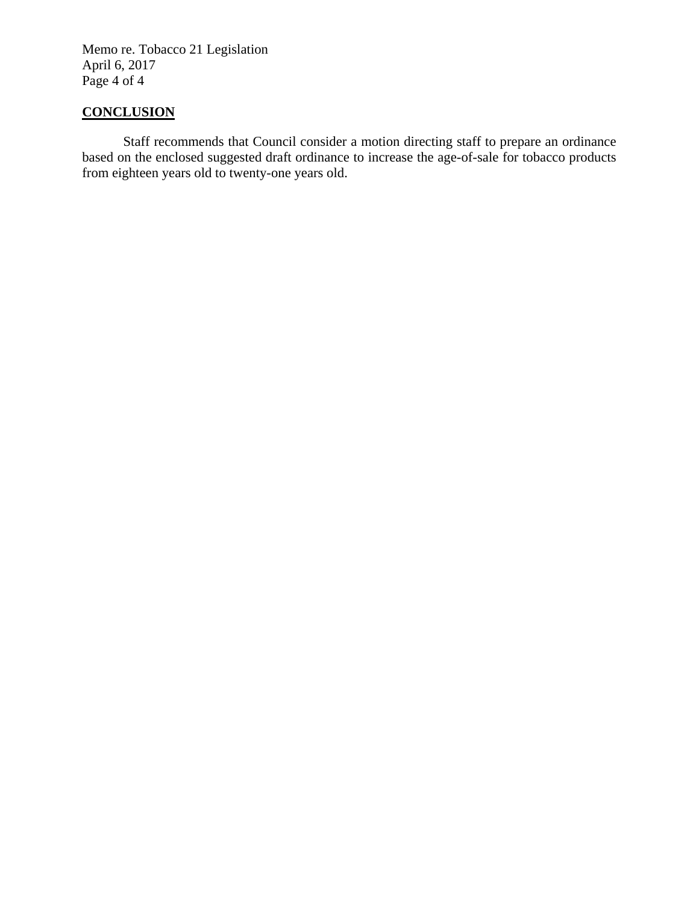Memo re. Tobacco 21 Legislation April 6, 2017 Page 4 of 4

# **CONCLUSION**

Staff recommends that Council consider a motion directing staff to prepare an ordinance based on the enclosed suggested draft ordinance to increase the age-of-sale for tobacco products from eighteen years old to twenty-one years old.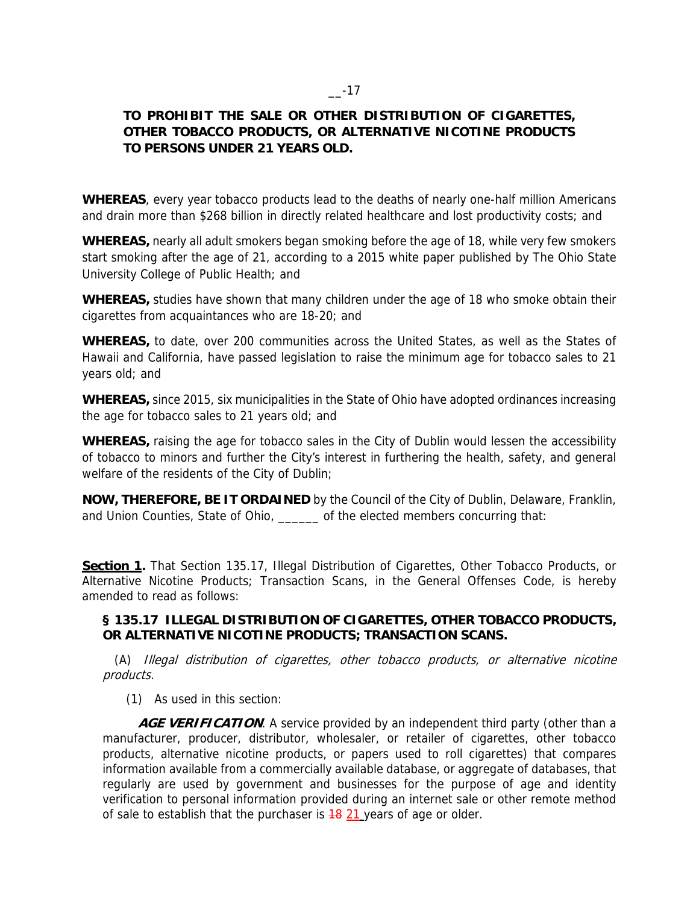## **TO PROHIBIT THE SALE OR OTHER DISTRIBUTION OF CIGARETTES, OTHER TOBACCO PRODUCTS, OR ALTERNATIVE NICOTINE PRODUCTS TO PERSONS UNDER 21 YEARS OLD.**

**WHEREAS**, every year tobacco products lead to the deaths of nearly one-half million Americans and drain more than \$268 billion in directly related healthcare and lost productivity costs; and

**WHEREAS,** nearly all adult smokers began smoking before the age of 18, while very few smokers start smoking after the age of 21, according to a 2015 white paper published by The Ohio State University College of Public Health; and

**WHEREAS,** studies have shown that many children under the age of 18 who smoke obtain their cigarettes from acquaintances who are 18-20; and

**WHEREAS,** to date, over 200 communities across the United States, as well as the States of Hawaii and California, have passed legislation to raise the minimum age for tobacco sales to 21 years old; and

**WHEREAS,** since 2015, six municipalities in the State of Ohio have adopted ordinances increasing the age for tobacco sales to 21 years old; and

**WHEREAS,** raising the age for tobacco sales in the City of Dublin would lessen the accessibility of tobacco to minors and further the City's interest in furthering the health, safety, and general welfare of the residents of the City of Dublin;

**NOW, THEREFORE, BE IT ORDAINED** by the Council of the City of Dublin, Delaware, Franklin, and Union Counties, State of Ohio, elected members concurring that:

**Section 1.** That Section 135.17, Illegal Distribution of Cigarettes, Other Tobacco Products, or Alternative Nicotine Products; Transaction Scans, in the General Offenses Code, is hereby amended to read as follows:

#### **§ 135.17 ILLEGAL DISTRIBUTION OF CIGARETTES, OTHER TOBACCO PRODUCTS, OR ALTERNATIVE NICOTINE PRODUCTS; TRANSACTION SCANS.**

 (A) Illegal distribution of cigarettes, other tobacco products, or alternative nicotine products.

(1) As used in this section:

**AGE VERIFICATION**. A service provided by an independent third party (other than a manufacturer, producer, distributor, wholesaler, or retailer of cigarettes, other tobacco products, alternative nicotine products, or papers used to roll cigarettes) that compares information available from a commercially available database, or aggregate of databases, that regularly are used by government and businesses for the purpose of age and identity verification to personal information provided during an internet sale or other remote method of sale to establish that the purchaser is  $\frac{18}{21}$  years of age or older.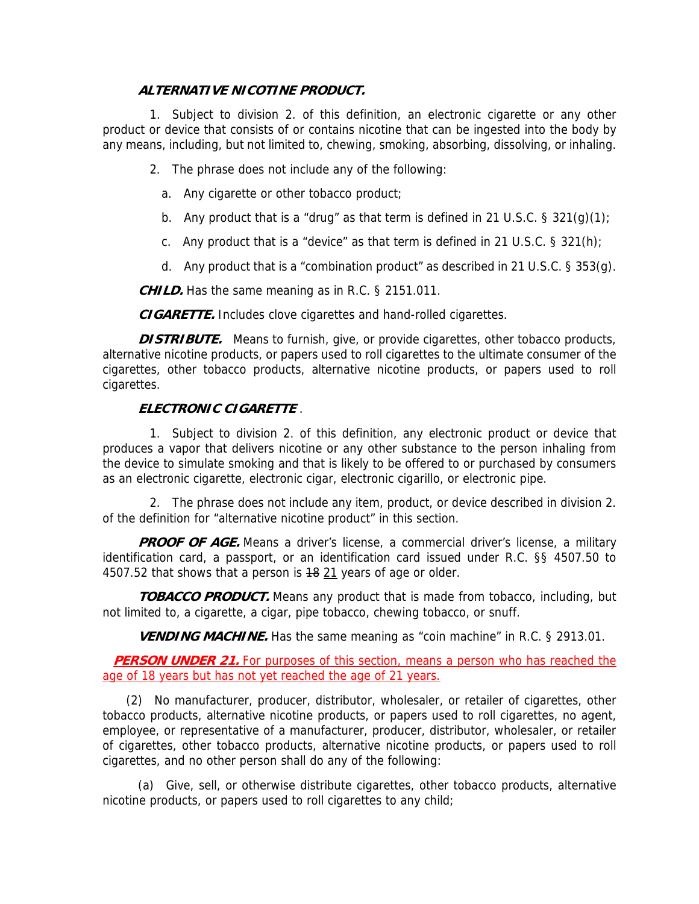### **ALTERNATIVE NICOTINE PRODUCT.**

 1. Subject to division 2. of this definition, an electronic cigarette or any other product or device that consists of or contains nicotine that can be ingested into the body by any means, including, but not limited to, chewing, smoking, absorbing, dissolving, or inhaling.

2. The phrase does not include any of the following:

- a. Any cigarette or other tobacco product;
- b. Any product that is a "drug" as that term is defined in 21 U.S.C. § 321(g)(1);
- c. Any product that is a "device" as that term is defined in 21 U.S.C. § 321(h);
- d. Any product that is a "combination product" as described in 21 U.S.C.  $\S 353(q)$ .

**CHILD.** Has the same meaning as in R.C. § 2151.011.

**CIGARETTE.** Includes clove cigarettes and hand-rolled cigarettes.

**DISTRIBUTE.** Means to furnish, give, or provide cigarettes, other tobacco products, alternative nicotine products, or papers used to roll cigarettes to the ultimate consumer of the cigarettes, other tobacco products, alternative nicotine products, or papers used to roll cigarettes.

### **ELECTRONIC CIGARETTE** .

 1. Subject to division 2. of this definition, any electronic product or device that produces a vapor that delivers nicotine or any other substance to the person inhaling from the device to simulate smoking and that is likely to be offered to or purchased by consumers as an electronic cigarette, electronic cigar, electronic cigarillo, or electronic pipe.

 2. The phrase does not include any item, product, or device described in division 2. of the definition for "alternative nicotine product" in this section.

**PROOF OF AGE.** Means a driver's license, a commercial driver's license, a military identification card, a passport, or an identification card issued under R.C. §§ 4507.50 to 4507.52 that shows that a person is  $18$  21 years of age or older.

 **TOBACCO PRODUCT.** Means any product that is made from tobacco, including, but not limited to, a cigarette, a cigar, pipe tobacco, chewing tobacco, or snuff.

**VENDING MACHINE.** Has the same meaning as "coin machine" in R.C. § 2913.01.

**PERSON UNDER 21.** For purposes of this section, means a person who has reached the age of 18 years but has not yet reached the age of 21 years.

 (2) No manufacturer, producer, distributor, wholesaler, or retailer of cigarettes, other tobacco products, alternative nicotine products, or papers used to roll cigarettes, no agent, employee, or representative of a manufacturer, producer, distributor, wholesaler, or retailer of cigarettes, other tobacco products, alternative nicotine products, or papers used to roll cigarettes, and no other person shall do any of the following:

 (a) Give, sell, or otherwise distribute cigarettes, other tobacco products, alternative nicotine products, or papers used to roll cigarettes to any child;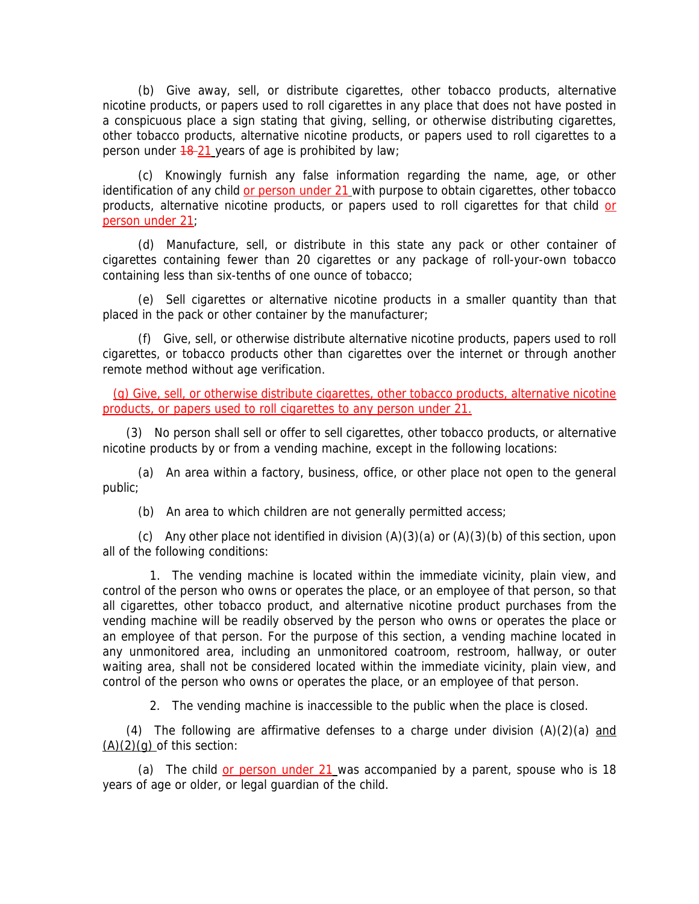(b) Give away, sell, or distribute cigarettes, other tobacco products, alternative nicotine products, or papers used to roll cigarettes in any place that does not have posted in a conspicuous place a sign stating that giving, selling, or otherwise distributing cigarettes, other tobacco products, alternative nicotine products, or papers used to roll cigarettes to a person under  $\frac{48-21}{2}$  years of age is prohibited by law;

 (c) Knowingly furnish any false information regarding the name, age, or other identification of any child or person under 21 with purpose to obtain cigarettes, other tobacco products, alternative nicotine products, or papers used to roll cigarettes for that child or person under 21;

 (d) Manufacture, sell, or distribute in this state any pack or other container of cigarettes containing fewer than 20 cigarettes or any package of roll-your-own tobacco containing less than six-tenths of one ounce of tobacco;

 (e) Sell cigarettes or alternative nicotine products in a smaller quantity than that placed in the pack or other container by the manufacturer;

 (f) Give, sell, or otherwise distribute alternative nicotine products, papers used to roll cigarettes, or tobacco products other than cigarettes over the internet or through another remote method without age verification.

 (g) Give, sell, or otherwise distribute cigarettes, other tobacco products, alternative nicotine products, or papers used to roll cigarettes to any person under 21.

 (3) No person shall sell or offer to sell cigarettes, other tobacco products, or alternative nicotine products by or from a vending machine, except in the following locations:

 (a) An area within a factory, business, office, or other place not open to the general public;

(b) An area to which children are not generally permitted access;

(c) Any other place not identified in division  $(A)(3)(a)$  or  $(A)(3)(b)$  of this section, upon all of the following conditions:

 1. The vending machine is located within the immediate vicinity, plain view, and control of the person who owns or operates the place, or an employee of that person, so that all cigarettes, other tobacco product, and alternative nicotine product purchases from the vending machine will be readily observed by the person who owns or operates the place or an employee of that person. For the purpose of this section, a vending machine located in any unmonitored area, including an unmonitored coatroom, restroom, hallway, or outer waiting area, shall not be considered located within the immediate vicinity, plain view, and control of the person who owns or operates the place, or an employee of that person.

2. The vending machine is inaccessible to the public when the place is closed.

(4) The following are affirmative defenses to a charge under division  $(A)(2)(a)$  and  $(A)(2)(q)$  of this section:

(a) The child or person under 21 was accompanied by a parent, spouse who is 18 years of age or older, or legal guardian of the child.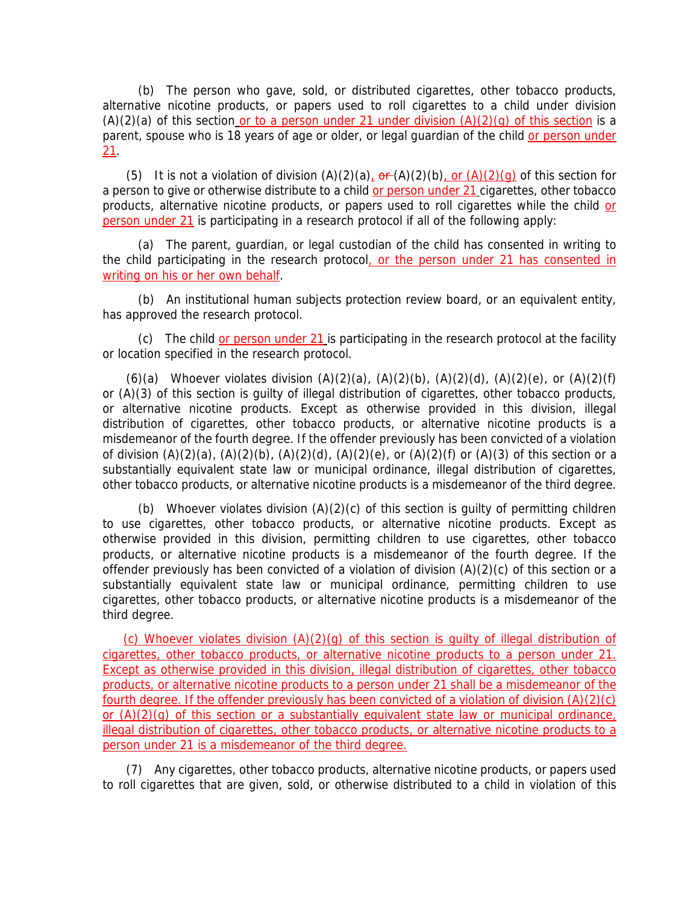(b) The person who gave, sold, or distributed cigarettes, other tobacco products, alternative nicotine products, or papers used to roll cigarettes to a child under division  $(A)(2)(a)$  of this section or to a person under 21 under division  $(A)(2)(q)$  of this section is a parent, spouse who is 18 years of age or older, or legal guardian of the child or person under 21.

(5) It is not a violation of division  $(A)(2)(a)$ ,  $\theta$   $(A)(2)(b)$ , or  $(A)(2)(a)$  of this section for a person to give or otherwise distribute to a child or person under 21 cigarettes, other tobacco products, alternative nicotine products, or papers used to roll cigarettes while the child or person under 21 is participating in a research protocol if all of the following apply:

 (a) The parent, guardian, or legal custodian of the child has consented in writing to the child participating in the research protocol, or the person under 21 has consented in writing on his or her own behalf.

 (b) An institutional human subjects protection review board, or an equivalent entity, has approved the research protocol.

 (c) The child or person under 21 is participating in the research protocol at the facility or location specified in the research protocol.

(6)(a) Whoever violates division  $(A)(2)(a)$ ,  $(A)(2)(b)$ ,  $(A)(2)(d)$ ,  $(A)(2)(e)$ , or  $(A)(2)(f)$ or (A)(3) of this section is guilty of illegal distribution of cigarettes, other tobacco products, or alternative nicotine products. Except as otherwise provided in this division, illegal distribution of cigarettes, other tobacco products, or alternative nicotine products is a misdemeanor of the fourth degree. If the offender previously has been convicted of a violation of division  $(A)(2)(a)$ ,  $(A)(2)(b)$ ,  $(A)(2)(d)$ ,  $(A)(2)(e)$ , or  $(A)(2)(f)$  or  $(A)(3)$  of this section or a substantially equivalent state law or municipal ordinance, illegal distribution of cigarettes, other tobacco products, or alternative nicotine products is a misdemeanor of the third degree.

(b) Whoever violates division  $(A)(2)(c)$  of this section is quilty of permitting children to use cigarettes, other tobacco products, or alternative nicotine products. Except as otherwise provided in this division, permitting children to use cigarettes, other tobacco products, or alternative nicotine products is a misdemeanor of the fourth degree. If the offender previously has been convicted of a violation of division  $(A)(2)(c)$  of this section or a substantially equivalent state law or municipal ordinance, permitting children to use cigarettes, other tobacco products, or alternative nicotine products is a misdemeanor of the third degree.

(c) Whoever violates division (A)(2)(g) of this section is guilty of illegal distribution of cigarettes, other tobacco products, or alternative nicotine products to a person under 21. Except as otherwise provided in this division, illegal distribution of cigarettes, other tobacco products, or alternative nicotine products to a person under 21 shall be a misdemeanor of the fourth degree. If the offender previously has been convicted of a violation of division (A)(2)(c) or (A)(2)(g) of this section or a substantially equivalent state law or municipal ordinance, illegal distribution of cigarettes, other tobacco products, or alternative nicotine products to a person under 21 is a misdemeanor of the third degree.

 (7) Any cigarettes, other tobacco products, alternative nicotine products, or papers used to roll cigarettes that are given, sold, or otherwise distributed to a child in violation of this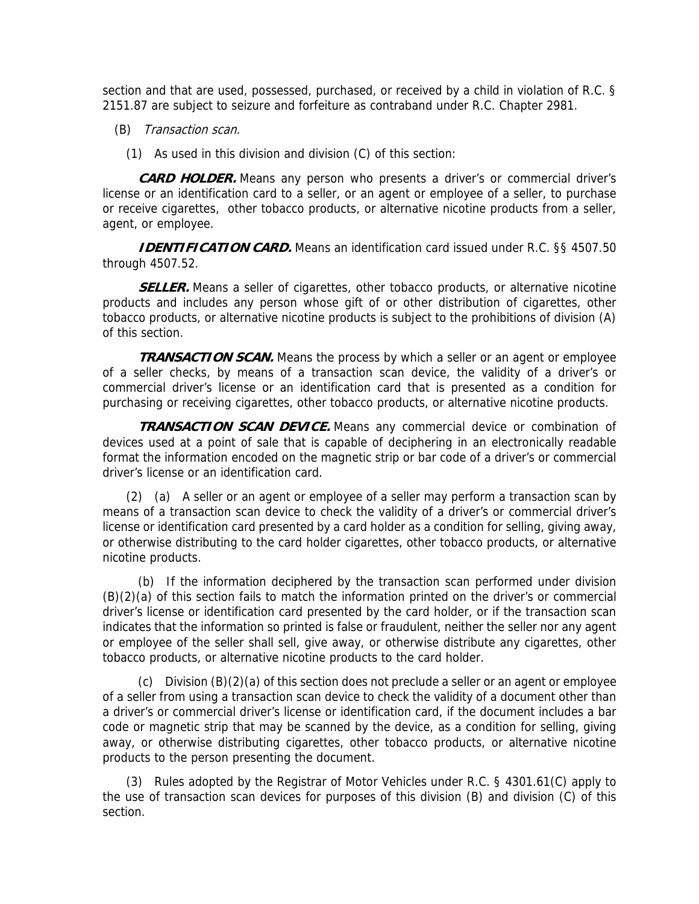section and that are used, possessed, purchased, or received by a child in violation of R.C. § 2151.87 are subject to seizure and forfeiture as contraband under R.C. Chapter 2981.

- (B) Transaction scan.
	- (1) As used in this division and division (C) of this section:

 **CARD HOLDER.** Means any person who presents a driver's or commercial driver's license or an identification card to a seller, or an agent or employee of a seller, to purchase or receive cigarettes, other tobacco products, or alternative nicotine products from a seller, agent, or employee.

**IDENTIFICATION CARD.** Means an identification card issued under R.C. §§ 4507.50 through 4507.52.

**SELLER.** Means a seller of cigarettes, other tobacco products, or alternative nicotine products and includes any person whose gift of or other distribution of cigarettes, other tobacco products, or alternative nicotine products is subject to the prohibitions of division (A) of this section.

**TRANSACTION SCAN.** Means the process by which a seller or an agent or employee of a seller checks, by means of a transaction scan device, the validity of a driver's or commercial driver's license or an identification card that is presented as a condition for purchasing or receiving cigarettes, other tobacco products, or alternative nicotine products.

 **TRANSACTION SCAN DEVICE.** Means any commercial device or combination of devices used at a point of sale that is capable of deciphering in an electronically readable format the information encoded on the magnetic strip or bar code of a driver's or commercial driver's license or an identification card.

 (2) (a) A seller or an agent or employee of a seller may perform a transaction scan by means of a transaction scan device to check the validity of a driver's or commercial driver's license or identification card presented by a card holder as a condition for selling, giving away, or otherwise distributing to the card holder cigarettes, other tobacco products, or alternative nicotine products.

 (b) If the information deciphered by the transaction scan performed under division (B)(2)(a) of this section fails to match the information printed on the driver's or commercial driver's license or identification card presented by the card holder, or if the transaction scan indicates that the information so printed is false or fraudulent, neither the seller nor any agent or employee of the seller shall sell, give away, or otherwise distribute any cigarettes, other tobacco products, or alternative nicotine products to the card holder.

(c) Division  $(B)(2)(a)$  of this section does not preclude a seller or an agent or employee of a seller from using a transaction scan device to check the validity of a document other than a driver's or commercial driver's license or identification card, if the document includes a bar code or magnetic strip that may be scanned by the device, as a condition for selling, giving away, or otherwise distributing cigarettes, other tobacco products, or alternative nicotine products to the person presenting the document.

 (3) Rules adopted by the Registrar of Motor Vehicles under R.C. § 4301.61(C) apply to the use of transaction scan devices for purposes of this division (B) and division (C) of this section.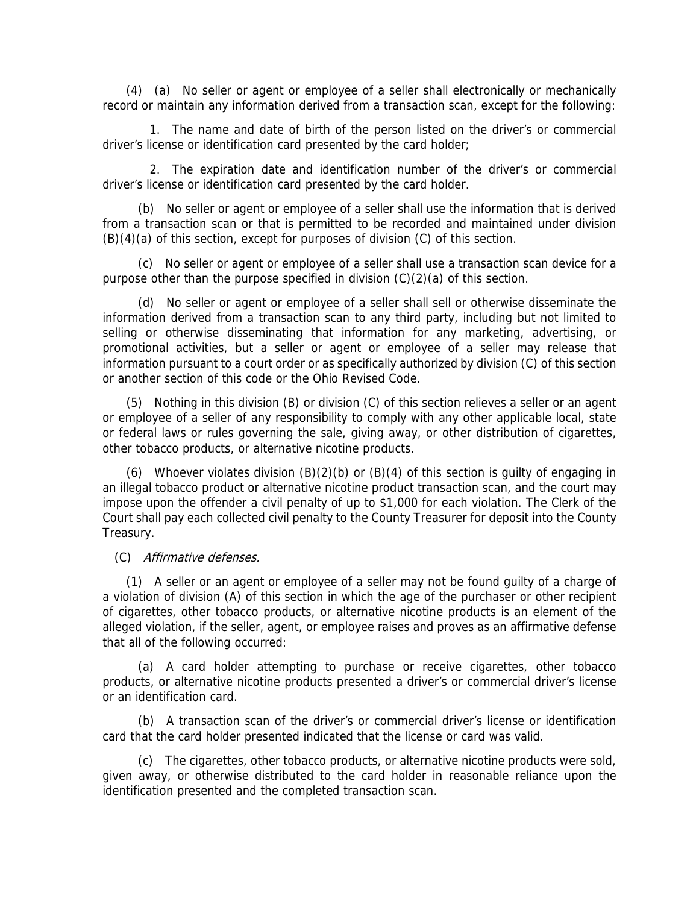(4) (a) No seller or agent or employee of a seller shall electronically or mechanically record or maintain any information derived from a transaction scan, except for the following:

 1. The name and date of birth of the person listed on the driver's or commercial driver's license or identification card presented by the card holder;

 2. The expiration date and identification number of the driver's or commercial driver's license or identification card presented by the card holder.

 (b) No seller or agent or employee of a seller shall use the information that is derived from a transaction scan or that is permitted to be recorded and maintained under division (B)(4)(a) of this section, except for purposes of division (C) of this section.

 (c) No seller or agent or employee of a seller shall use a transaction scan device for a purpose other than the purpose specified in division (C)(2)(a) of this section.

 (d) No seller or agent or employee of a seller shall sell or otherwise disseminate the information derived from a transaction scan to any third party, including but not limited to selling or otherwise disseminating that information for any marketing, advertising, or promotional activities, but a seller or agent or employee of a seller may release that information pursuant to a court order or as specifically authorized by division (C) of this section or another section of this code or the Ohio Revised Code.

 (5) Nothing in this division (B) or division (C) of this section relieves a seller or an agent or employee of a seller of any responsibility to comply with any other applicable local, state or federal laws or rules governing the sale, giving away, or other distribution of cigarettes, other tobacco products, or alternative nicotine products.

(6) Whoever violates division  $(B)(2)(b)$  or  $(B)(4)$  of this section is quilty of engaging in an illegal tobacco product or alternative nicotine product transaction scan, and the court may impose upon the offender a civil penalty of up to \$1,000 for each violation. The Clerk of the Court shall pay each collected civil penalty to the County Treasurer for deposit into the County Treasury.

(C) Affirmative defenses.

 (1) A seller or an agent or employee of a seller may not be found guilty of a charge of a violation of division (A) of this section in which the age of the purchaser or other recipient of cigarettes, other tobacco products, or alternative nicotine products is an element of the alleged violation, if the seller, agent, or employee raises and proves as an affirmative defense that all of the following occurred:

 (a) A card holder attempting to purchase or receive cigarettes, other tobacco products, or alternative nicotine products presented a driver's or commercial driver's license or an identification card.

 (b) A transaction scan of the driver's or commercial driver's license or identification card that the card holder presented indicated that the license or card was valid.

 (c) The cigarettes, other tobacco products, or alternative nicotine products were sold, given away, or otherwise distributed to the card holder in reasonable reliance upon the identification presented and the completed transaction scan.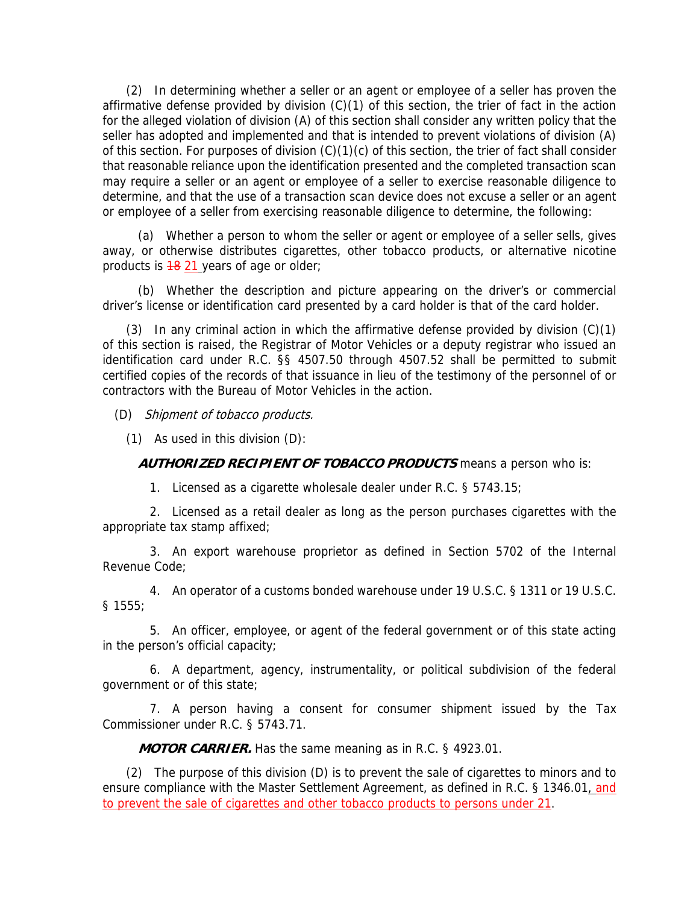(2) In determining whether a seller or an agent or employee of a seller has proven the affirmative defense provided by division (C)(1) of this section, the trier of fact in the action for the alleged violation of division (A) of this section shall consider any written policy that the seller has adopted and implemented and that is intended to prevent violations of division (A) of this section. For purposes of division (C)(1)(c) of this section, the trier of fact shall consider that reasonable reliance upon the identification presented and the completed transaction scan may require a seller or an agent or employee of a seller to exercise reasonable diligence to determine, and that the use of a transaction scan device does not excuse a seller or an agent or employee of a seller from exercising reasonable diligence to determine, the following:

 (a) Whether a person to whom the seller or agent or employee of a seller sells, gives away, or otherwise distributes cigarettes, other tobacco products, or alternative nicotine products is  $18$  21 years of age or older;

 (b) Whether the description and picture appearing on the driver's or commercial driver's license or identification card presented by a card holder is that of the card holder.

 (3) In any criminal action in which the affirmative defense provided by division (C)(1) of this section is raised, the Registrar of Motor Vehicles or a deputy registrar who issued an identification card under R.C. §§ 4507.50 through 4507.52 shall be permitted to submit certified copies of the records of that issuance in lieu of the testimony of the personnel of or contractors with the Bureau of Motor Vehicles in the action.

(D) Shipment of tobacco products.

(1) As used in this division (D):

**AUTHORIZED RECIPIENT OF TOBACCO PRODUCTS** means a person who is:

1. Licensed as a cigarette wholesale dealer under R.C. § 5743.15;

 2. Licensed as a retail dealer as long as the person purchases cigarettes with the appropriate tax stamp affixed;

 3. An export warehouse proprietor as defined in Section 5702 of the Internal Revenue Code;

 4. An operator of a customs bonded warehouse under 19 U.S.C. § 1311 or 19 U.S.C. § 1555;

 5. An officer, employee, or agent of the federal government or of this state acting in the person's official capacity;

 6. A department, agency, instrumentality, or political subdivision of the federal government or of this state;

 7. A person having a consent for consumer shipment issued by the Tax Commissioner under R.C. § 5743.71.

**MOTOR CARRIER.** Has the same meaning as in R.C. § 4923.01.

 (2) The purpose of this division (D) is to prevent the sale of cigarettes to minors and to ensure compliance with the Master Settlement Agreement, as defined in R.C. § 1346.01, and to prevent the sale of cigarettes and other tobacco products to persons under 21.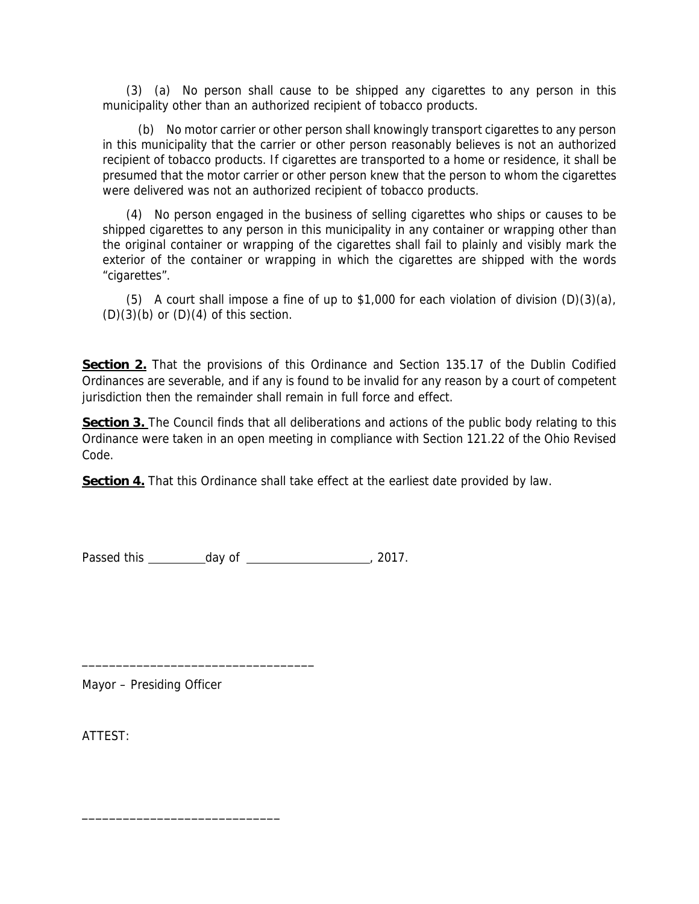(3) (a) No person shall cause to be shipped any cigarettes to any person in this municipality other than an authorized recipient of tobacco products.

 (b) No motor carrier or other person shall knowingly transport cigarettes to any person in this municipality that the carrier or other person reasonably believes is not an authorized recipient of tobacco products. If cigarettes are transported to a home or residence, it shall be presumed that the motor carrier or other person knew that the person to whom the cigarettes were delivered was not an authorized recipient of tobacco products.

 (4) No person engaged in the business of selling cigarettes who ships or causes to be shipped cigarettes to any person in this municipality in any container or wrapping other than the original container or wrapping of the cigarettes shall fail to plainly and visibly mark the exterior of the container or wrapping in which the cigarettes are shipped with the words "cigarettes".

 (5) A court shall impose a fine of up to \$1,000 for each violation of division (D)(3)(a),  $(D)(3)(b)$  or  $(D)(4)$  of this section.

**Section 2.** That the provisions of this Ordinance and Section 135.17 of the Dublin Codified Ordinances are severable, and if any is found to be invalid for any reason by a court of competent jurisdiction then the remainder shall remain in full force and effect.

**Section 3.** The Council finds that all deliberations and actions of the public body relating to this Ordinance were taken in an open meeting in compliance with Section 121.22 of the Ohio Revised Code.

**Section 4.** That this Ordinance shall take effect at the earliest date provided by law.

Passed this \_\_\_\_\_\_\_\_\_ day of \_\_\_\_\_\_\_\_\_\_\_\_\_\_\_\_\_\_\_\_\_\_, 2017.

Mayor – Presiding Officer

\_\_\_\_\_\_\_\_\_\_\_\_\_\_\_\_\_\_\_\_\_\_\_\_\_\_\_\_\_\_\_\_\_\_

\_\_\_\_\_\_\_\_\_\_\_\_\_\_\_\_\_\_\_\_\_\_\_\_\_\_\_\_\_

ATTEST: